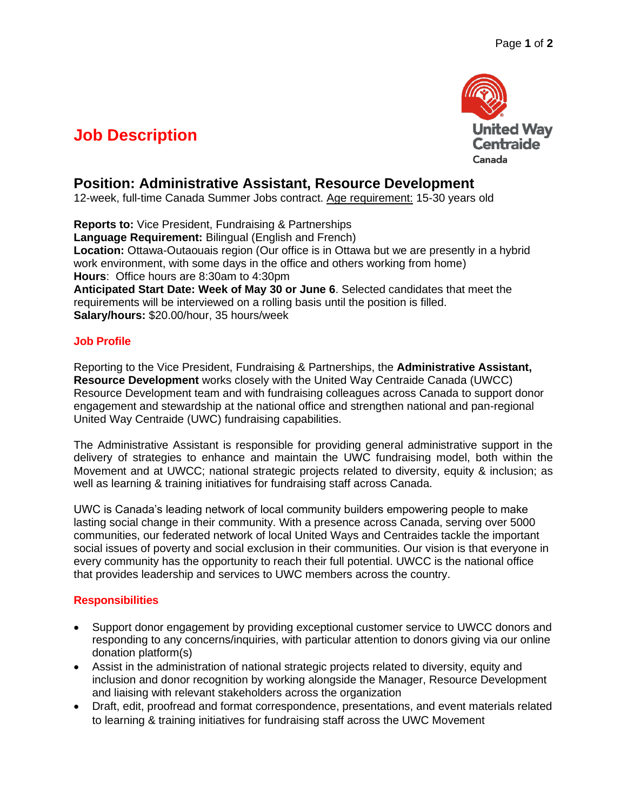# **United Way Centraide** Canada

# **Job Description**

# **Position: Administrative Assistant, Resource Development**

12-week, full-time Canada Summer Jobs contract. Age requirement: 15-30 years old

**Reports to:** Vice President, Fundraising & Partnerships **Language Requirement:** Bilingual (English and French) **Location:** Ottawa-Outaouais region (Our office is in Ottawa but we are presently in a hybrid work environment, with some days in the office and others working from home) **Hours**: Office hours are 8:30am to 4:30pm **Anticipated Start Date: Week of May 30 or June 6**. Selected candidates that meet the requirements will be interviewed on a rolling basis until the position is filled. **Salary/hours:** \$20.00/hour, 35 hours/week

### **Job Profile**

Reporting to the Vice President, Fundraising & Partnerships, the **Administrative Assistant, Resource Development** works closely with the United Way Centraide Canada (UWCC) Resource Development team and with fundraising colleagues across Canada to support donor engagement and stewardship at the national office and strengthen national and pan-regional United Way Centraide (UWC) fundraising capabilities.

The Administrative Assistant is responsible for providing general administrative support in the delivery of strategies to enhance and maintain the UWC fundraising model, both within the Movement and at UWCC; national strategic projects related to diversity, equity & inclusion; as well as learning & training initiatives for fundraising staff across Canada.

UWC is Canada's leading network of local community builders empowering people to make lasting social change in their community. With a presence across Canada, serving over 5000 communities, our federated network of local United Ways and Centraides tackle the important social issues of poverty and social exclusion in their communities. Our vision is that everyone in every community has the opportunity to reach their full potential. UWCC is the national office that provides leadership and services to UWC members across the country.

## **Responsibilities**

- Support donor engagement by providing exceptional customer service to UWCC donors and responding to any concerns/inquiries, with particular attention to donors giving via our online donation platform(s)
- Assist in the administration of national strategic projects related to diversity, equity and inclusion and donor recognition by working alongside the Manager, Resource Development and liaising with relevant stakeholders across the organization
- Draft, edit, proofread and format correspondence, presentations, and event materials related to learning & training initiatives for fundraising staff across the UWC Movement